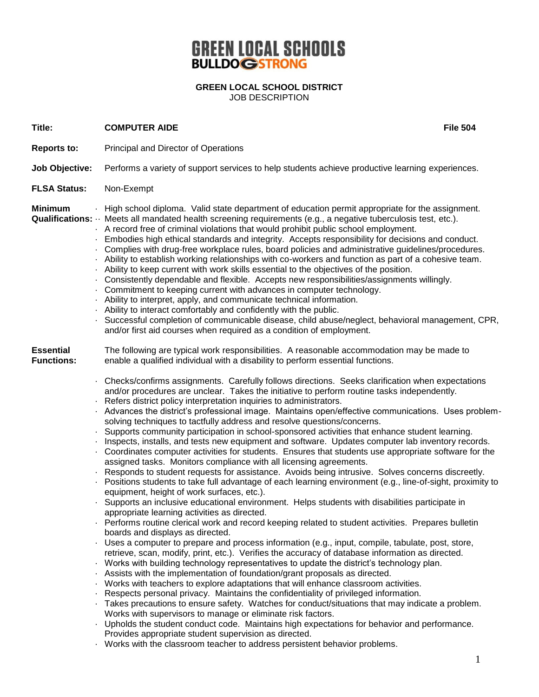## **GREEN LOCAL SCHOOLS BULLDOGSTRONG**

**GREEN LOCAL SCHOOL DISTRICT** JOB DESCRIPTION

**Title: COMPUTER AIDE File 504**

- **Reports to:** Principal and Director of Operations
- **Job Objective:** Performs a variety of support services to help students achieve productive learning experiences.
- **FLSA Status:** Non-Exempt

**Minimum** · High school diploma. Valid state department of education permit appropriate for the assignment.

- **Qualifications:** ·· Meets all mandated health screening requirements (e.g., a negative tuberculosis test, etc.).
	- · A record free of criminal violations that would prohibit public school employment.
	- · Embodies high ethical standards and integrity. Accepts responsibility for decisions and conduct.
	- · Complies with drug-free workplace rules, board policies and administrative guidelines/procedures.
	- · Ability to establish working relationships with co-workers and function as part of a cohesive team.
	- · Ability to keep current with work skills essential to the objectives of the position.
	- · Consistently dependable and flexible. Accepts new responsibilities/assignments willingly.
	- · Commitment to keeping current with advances in computer technology.
	- · Ability to interpret, apply, and communicate technical information.
	- · Ability to interact comfortably and confidently with the public.
	- · Successful completion of communicable disease, child abuse/neglect, behavioral management, CPR, and/or first aid courses when required as a condition of employment.

**Essential** The following are typical work responsibilities. A reasonable accommodation may be made to **Functions:** enable a qualified individual with a disability to perform essential functions.

- · Checks/confirms assignments. Carefully follows directions. Seeks clarification when expectations and/or procedures are unclear. Takes the initiative to perform routine tasks independently.
- · Refers district policy interpretation inquiries to administrators.
- · Advances the district's professional image. Maintains open/effective communications. Uses problemsolving techniques to tactfully address and resolve questions/concerns.
- · Supports community participation in school-sponsored activities that enhance student learning.
- · Inspects, installs, and tests new equipment and software. Updates computer lab inventory records.
- · Coordinates computer activities for students. Ensures that students use appropriate software for the assigned tasks. Monitors compliance with all licensing agreements.
- · Responds to student requests for assistance. Avoids being intrusive. Solves concerns discreetly.
- Positions students to take full advantage of each learning environment (e.g., line-of-sight, proximity to equipment, height of work surfaces, etc.).
- · Supports an inclusive educational environment. Helps students with disabilities participate in appropriate learning activities as directed.
- · Performs routine clerical work and record keeping related to student activities. Prepares bulletin boards and displays as directed.
- · Uses a computer to prepare and process information (e.g., input, compile, tabulate, post, store, retrieve, scan, modify, print, etc.). Verifies the accuracy of database information as directed.
- · Works with building technology representatives to update the district's technology plan.
- · Assists with the implementation of foundation/grant proposals as directed.
- · Works with teachers to explore adaptations that will enhance classroom activities.
- · Respects personal privacy. Maintains the confidentiality of privileged information.
- Takes precautions to ensure safety. Watches for conduct/situations that may indicate a problem. Works with supervisors to manage or eliminate risk factors.
- · Upholds the student conduct code. Maintains high expectations for behavior and performance. Provides appropriate student supervision as directed.
- · Works with the classroom teacher to address persistent behavior problems.